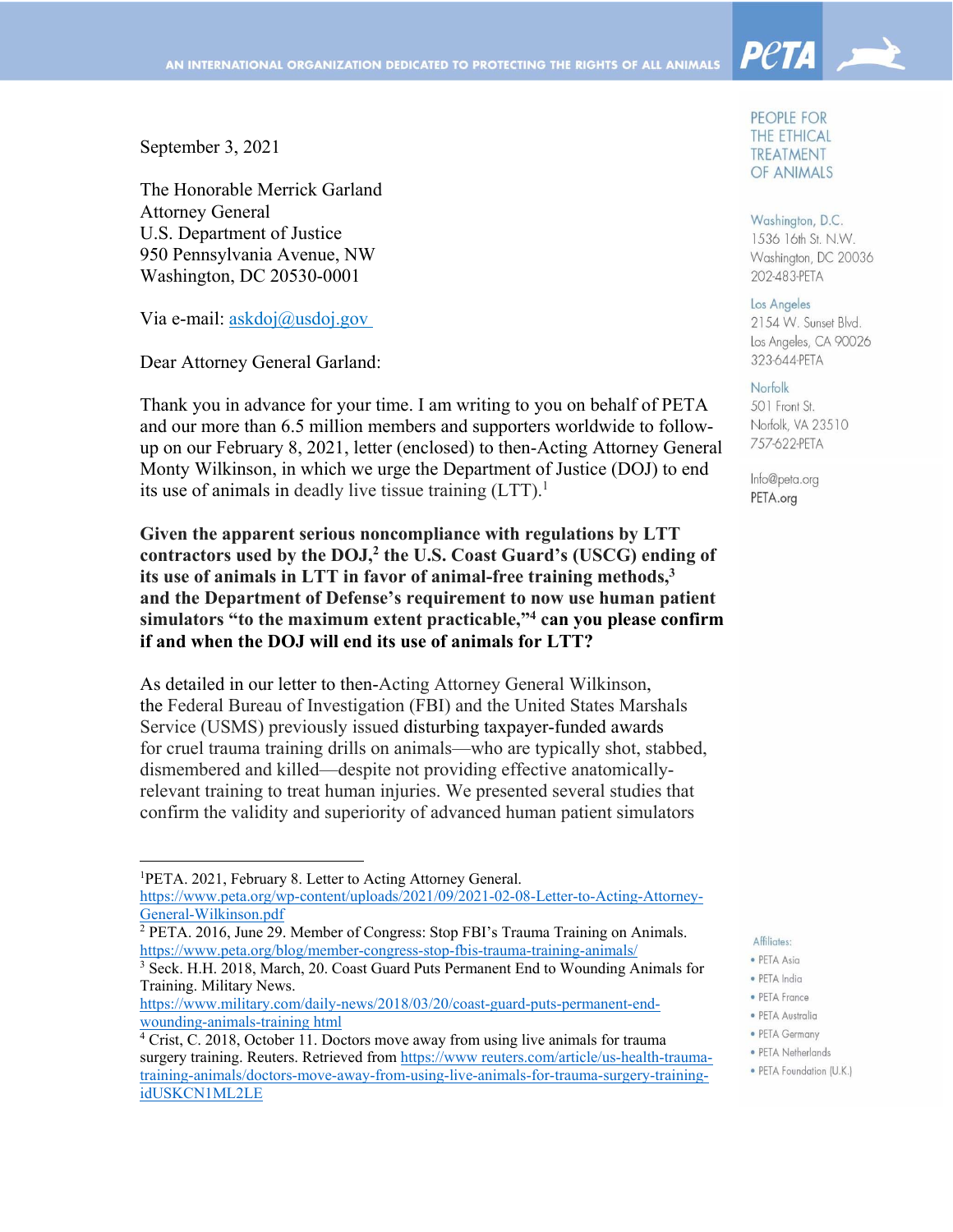September 3, 2021

The Honorable Merrick Garland Attorney General U.S. Department of Justice 950 Pennsylvania Avenue, NW Washington, DC 20530-0001

Via e-mail: askdoj@usdoj.gov

Dear Attorney General Garland:

Thank you in advance for your time. I am writing to you on behalf of PETA and our more than 6.5 million members and supporters worldwide to followup on our February 8, 2021, letter (enclosed) to then-Acting Attorney General Monty Wilkinson, in which we urge the Department of Justice (DOJ) to end its use of animals in deadly live tissue training  $(LTT)^{1}$ .

**Given the apparent serious noncompliance with regulations by LTT contractors used by the DOJ,2 the U.S. Coast Guard's (USCG) ending of its use of animals in LTT in favor of animal-free training methods,3 and the Department of Defense's requirement to now use human patient simulators "to the maximum extent practicable,"4 can you please confirm if and when the DOJ will end its use of animals for LTT?**

As detailed in our letter to then-Acting Attorney General Wilkinson, the Federal Bureau of Investigation (FBI) and the United States Marshals Service (USMS) previously issued disturbing taxpayer-funded awards for cruel trauma training drills on animals—who are typically shot, stabbed, dismembered and killed—despite not providing effective anatomicallyrelevant training to treat human injuries. We presented several studies that confirm the validity and superiority of advanced human patient simulators

<sup>3</sup> Seck. H.H. 2018, March, 20. Coast Guard Puts Permanent End to Wounding Animals for Training. Military News.

https://www.military.com/daily-news/2018/03/20/coast-guard-puts-permanent-endwounding-animals-training html

#### PEOPLE FOR THE ETHICAL TREATMENT OF ANIMALS

**Peta** 

Washington, D.C. 1536 16th St. N.W. Washington, DC 20036 202-483-PETA

#### Los Angeles

2154 W. Sunset Blvd. Los Angeles, CA 90026 323-644-PETA

#### Norfolk

501 Front St. Norfolk, VA 23510 757-622-PETA

Info@peta.org PETA.org

#### Affiliates:

- · PETA Asia
- · PETA India
- PETA France
- · PETA Australia
- PETA Germany
- PETA Netherlands

<sup>1</sup> PETA. 2021, February 8. Letter to Acting Attorney General.

https://www.peta.org/wp-content/uploads/2021/09/2021-02-08-Letter-to-Acting-Attorney-General-Wilkinson.pdf

<sup>2</sup> PETA. 2016, June 29. Member of Congress: Stop FBI's Trauma Training on Animals. https://www.peta.org/blog/member-congress-stop-fbis-trauma-training-animals/

<sup>&</sup>lt;sup>4</sup> Crist, C. 2018, October 11. Doctors move away from using live animals for trauma surgery training. Reuters. Retrieved from https://www.reuters.com/article/us-health-traumatraining-animals/doctors-move-away-from-using-live-animals-for-trauma-surgery-trainingidUSKCN1ML2LE

<sup>•</sup> PETA Foundation (U.K.)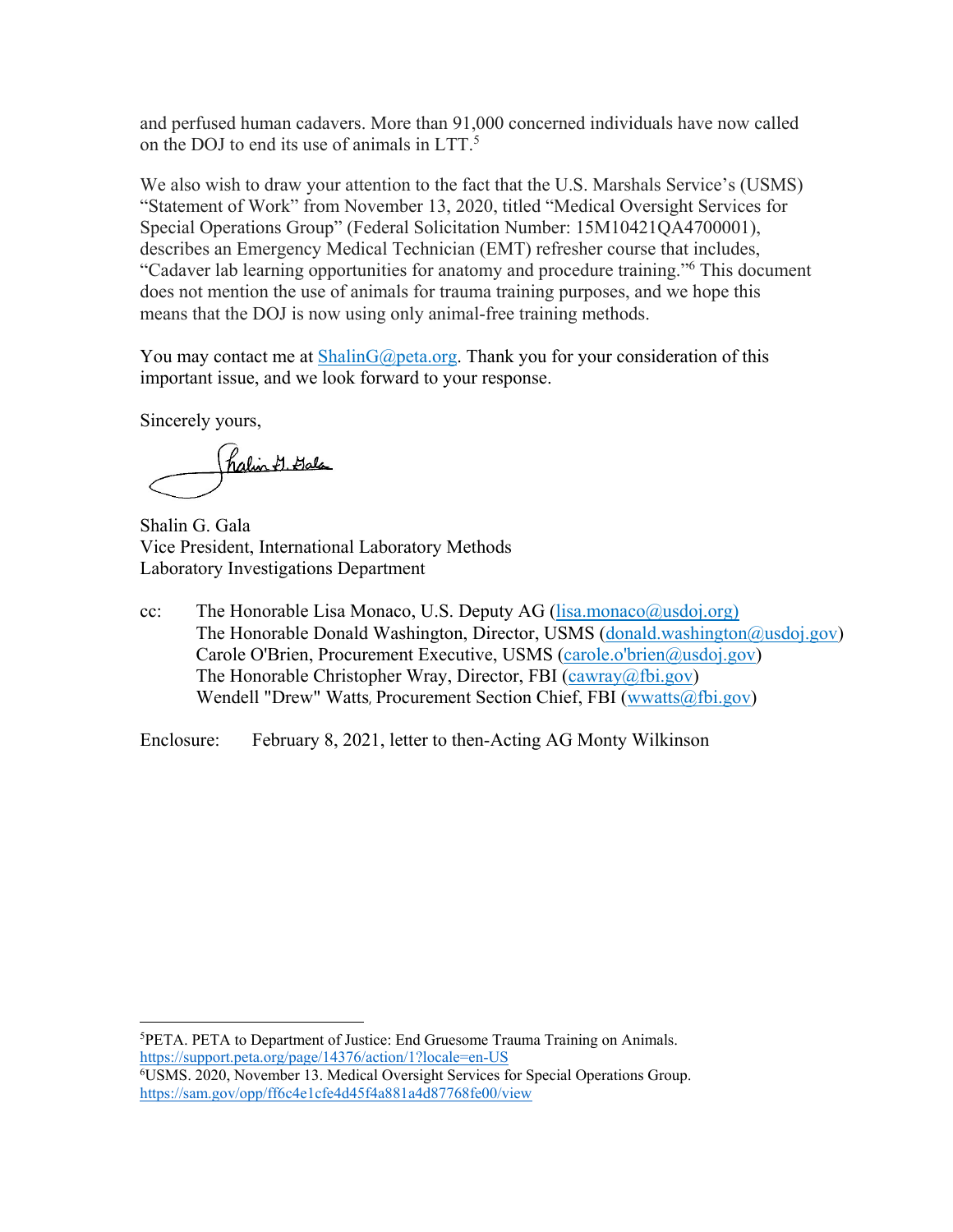and perfused human cadavers. More than 91,000 concerned individuals have now called on the DOJ to end its use of animals in LTT.<sup>5</sup>

We also wish to draw your attention to the fact that the U.S. Marshals Service's (USMS) "Statement of Work" from November 13, 2020, titled "Medical Oversight Services for Special Operations Group" (Federal Solicitation Number: 15M10421QA4700001), describes an Emergency Medical Technician (EMT) refresher course that includes, "Cadaver lab learning opportunities for anatomy and procedure training."6 This document does not mention the use of animals for trauma training purposes, and we hope this means that the DOJ is now using only animal-free training methods.

You may contact me at ShalinG@peta.org. Thank you for your consideration of this important issue, and we look forward to your response.

Sincerely yours,

halin 7. Jala

Shalin G. Gala Vice President, International Laboratory Methods Laboratory Investigations Department

cc: The Honorable Lisa Monaco, U.S. Deputy AG (lisa.monaco@usdoj.org) The Honorable Donald Washington, Director, USMS (donald.washington@usdoj.gov) Carole O'Brien, Procurement Executive, USMS (carole.o'brien@usdoj.gov) The Honorable Christopher Wray, Director, FBI (cawray@fbi.gov) Wendell "Drew" Watts, Procurement Section Chief, FBI (wwatts@fbi.gov)

Enclosure: February 8, 2021, letter to then-Acting AG Monty Wilkinson

5 PETA. PETA to Department of Justice: End Gruesome Trauma Training on Animals. https://support.peta.org/page/14376/action/1?locale=en-US

<sup>6</sup> USMS. 2020, November 13. Medical Oversight Services for Special Operations Group. https://sam.gov/opp/ff6c4e1cfe4d45f4a881a4d87768fe00/view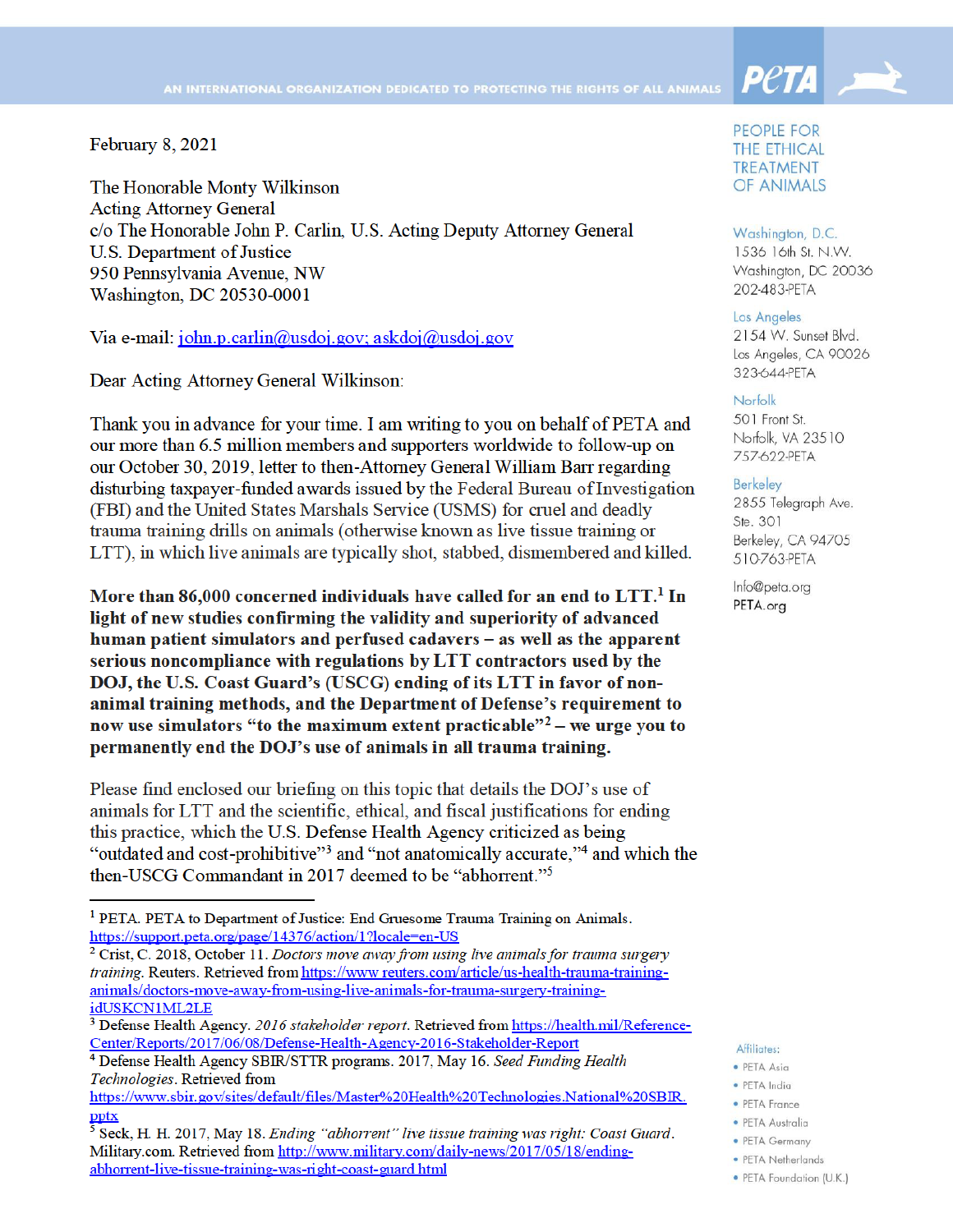February 8, 2021

The Honorable Monty Wilkinson **Acting Attorney General** c/o The Honorable John P. Carlin, U.S. Acting Deputy Attorney General **U.S. Department of Justice** 950 Pennsylvania Avenue, NW Washington, DC 20530-0001

Via e-mail:  $\overline{\text{10}}$ hn.p.carlin@usdoj.gov; askdoj@usdoj.gov

Dear Acting Attorney General Wilkinson:

Thank you in advance for your time. I am writing to you on behalf of PETA and our more than 6.5 million members and supporters worldwide to follow-up on our October 30, 2019, letter to then-Attorney General William Barr regarding disturbing taxpayer-funded awards issued by the Federal Bureau of Investigation (FBI) and the United States Marshals Service (USMS) for cruel and deadly trauma training drills on animals (otherwise known as live tissue training or LTT), in which live animals are typically shot, stabbed, dismembered and killed.

More than 86,000 concerned individuals have called for an end to  $LTI<sup>1</sup>$  In light of new studies confirming the validity and superiority of advanced human patient simulators and perfused cadavers – as well as the apparent serious noncompliance with regulations by LTT contractors used by the DOJ, the U.S. Coast Guard's (USCG) ending of its LTT in favor of nonanimal training methods, and the Department of Defense's requirement to now use simulators "to the maximum extent practicable" $2$  – we urge you to permanently end the DOJ's use of animals in all trauma training.

Please find enclosed our briefing on this topic that details the DOJ's use of animals for LTT and the scientific, ethical, and fiscal justifications for ending this practice, which the U.S. Defense Health Agency criticized as being "outdated and cost-prohibitive"<sup>3</sup> and "not anatomically accurate,"<sup>4</sup> and which the then-USCG Commandant in 2017 deemed to be "abhorrent."<sup>5</sup>

 $2$  Crist, C. 2018, October 11. Doctors move away from using live animals for trauma surgery training. Reuters. Retrieved from https://www.reuters.com/article/us-health-trauma-traininganimals/doctors-move-away-from-using-live-animals-for-trauma-surgery-trainingidUSKCN1ML2LE



**Peta** 

#### Washington, D.C.

1536 16th St. N.W. Washington, DC 20036 202-483-PETA

#### Los Angeles

2154 W. Sunset Blvd. Los Angeles, CA 90026 323-644-PETA

#### Norfolk

501 Front St. Norfolk, VA 23510 757-622-PETA

#### **Berkeley**

2855 Telegraph Ave. Ste. 301 Berkeley, CA 94705 510-763-PETA

Info@peta.org PETA.org

#### Affiliates:

- · PFTA Asia
- · PFTA India
- · PETA France
- · PETA Australia
- PETA Germany
- · PETA Netherlands
- · PETA Foundation (U.K.)

<sup>&</sup>lt;sup>1</sup> PETA. PETA to Department of Justice: End Gruesome Trauma Training on Animals. https://support.peta.org/page/14376/action/1?locale=en-US

<sup>&</sup>lt;sup>3</sup> Defense Health Agency. 2016 stakeholder report. Retrieved from https://health.mil/Reference-Center/Reports/2017/06/08/Defense-Health-Agency-2016-Stakeholder-Report

<sup>&</sup>lt;sup>4</sup> Defense Health Agency SBIR/STTR programs. 2017, May 16. Seed Funding Health Technologies. Retrieved from

https://www.sbir.gov/sites/default/files/Master%20Health%20Technologies.National%20SBIR. pptx

<sup>&</sup>lt;sup>5</sup> Seck, H. H. 2017, May 18. Ending "abhorrent" live tissue training was right: Coast Guard. Military.com. Retrieved from http://www.military.com/daily-news/2017/05/18/endingabhorrent-live-tissue-training-was-right-coast-guard html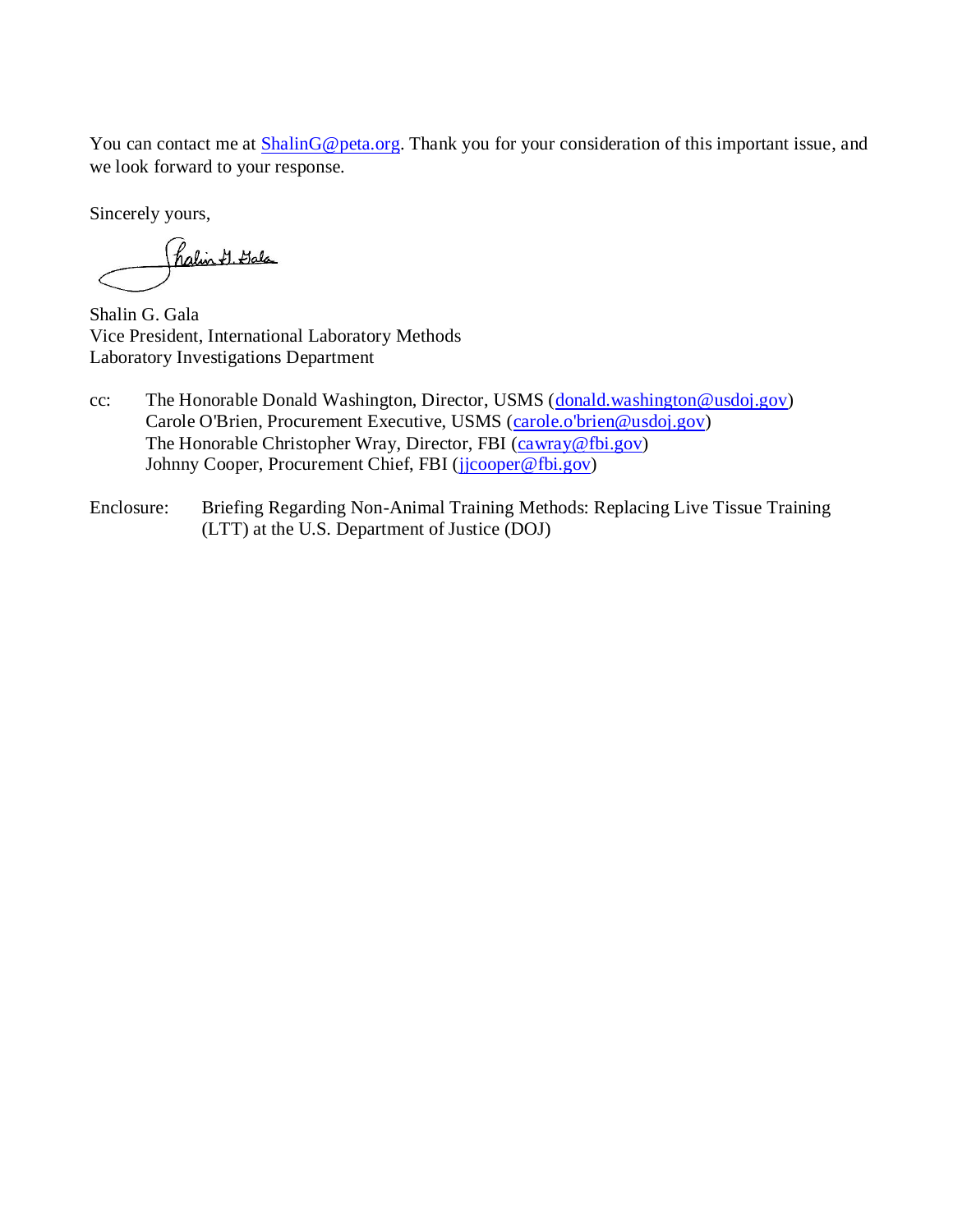You can contact me at **ShalinG@peta.org**. Thank you for your consideration of this important issue, and we look forward to your response.

Sincerely yours,

(halin & Gala

Shalin G. Gala Vice President, International Laboratory Methods Laboratory Investigations Department

- cc: The Honorable Donald Washington, Director, USMS [\(donald.washington@usdoj.gov\)](mailto:donald.washington@usdoj.gov) Carole O'Brien, Procurement Executive, USMS [\(carole.o'brien@usdoj.gov\)](mailto:carole.o) The Honorable Christopher Wray, Director, FBI [\(cawray@fbi.gov\)](mailto:cawray@fbi.gov) Johnny Cooper, Procurement Chief, FBI [\(jjcooper@fbi.gov\)](mailto:jjcooper@fbi.gov)
- Enclosure: Briefing Regarding Non-Animal Training Methods: Replacing Live Tissue Training (LTT) at the U.S. Department of Justice (DOJ)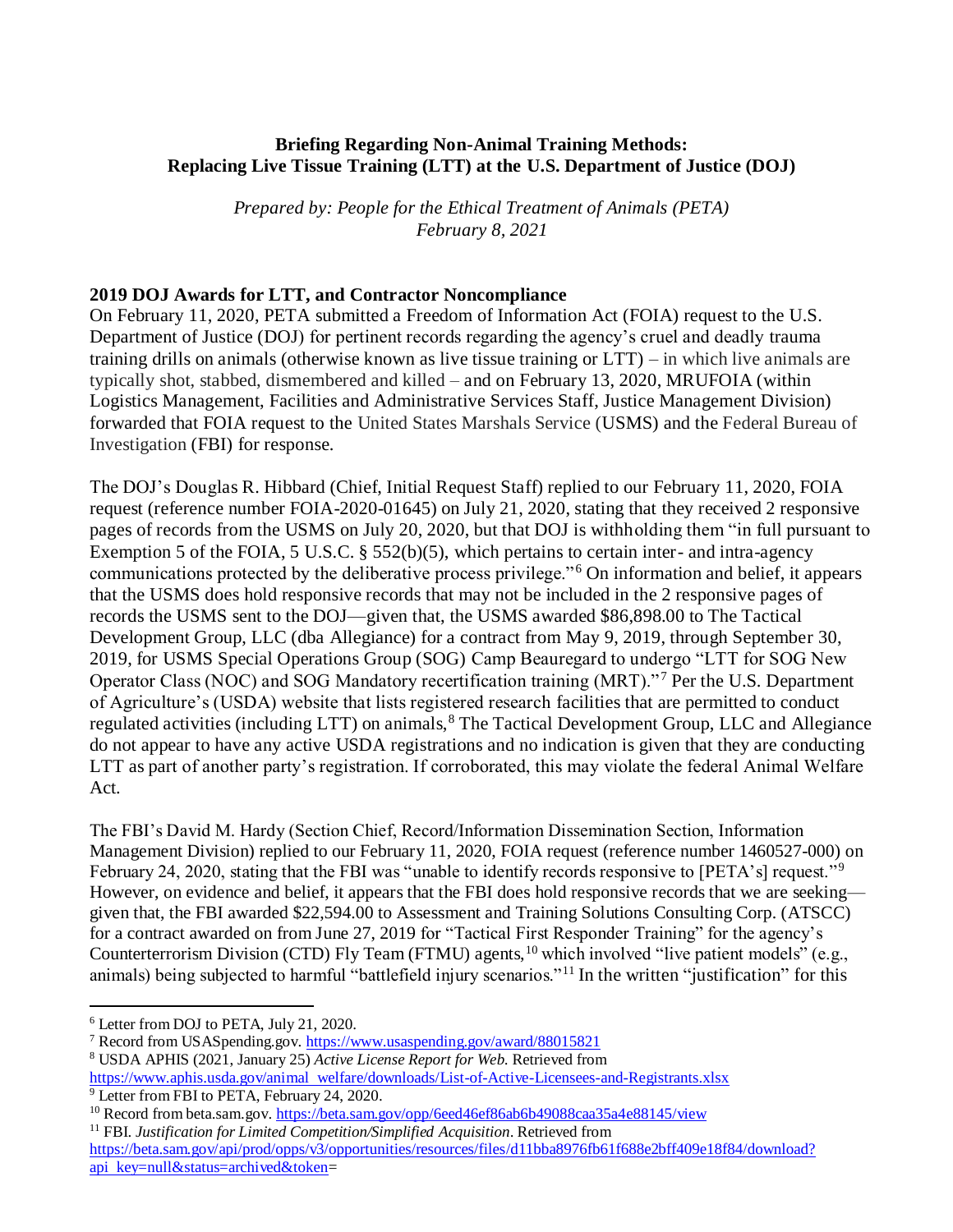### **Briefing Regarding Non-Animal Training Methods: Replacing Live Tissue Training (LTT) at the U.S. Department of Justice (DOJ)**

*Prepared by: People for the Ethical Treatment of Animals (PETA) February 8, 2021*

### **2019 DOJ Awards for LTT, and Contractor Noncompliance**

On February 11, 2020, PETA submitted a Freedom of Information Act (FOIA) request to the U.S. Department of Justice (DOJ) for pertinent records regarding the agency's cruel and deadly trauma training drills on animals (otherwise known as live tissue training or LTT) – in which live animals are typically shot, stabbed, dismembered and killed – and on February 13, 2020, MRUFOIA (within Logistics Management, Facilities and Administrative Services Staff, Justice Management Division) forwarded that FOIA request to the United States Marshals Service (USMS) and the Federal Bureau of Investigation (FBI) for response.

The DOJ's Douglas R. Hibbard (Chief, Initial Request Staff) replied to our February 11, 2020, FOIA request (reference number FOIA-2020-01645) on July 21, 2020, stating that they received 2 responsive pages of records from the USMS on July 20, 2020, but that DOJ is withholding them "in full pursuant to Exemption 5 of the FOIA, 5 U.S.C. § 552(b)(5), which pertains to certain inter- and intra-agency communications protected by the deliberative process privilege."<sup>6</sup> On information and belief, it appears that the USMS does hold responsive records that may not be included in the 2 responsive pages of records the USMS sent to the DOJ—given that, the USMS awarded \$86,898.00 to The Tactical Development Group, LLC (dba Allegiance) for a contract from May 9, 2019, through September 30, 2019, for USMS Special Operations Group (SOG) Camp Beauregard to undergo "LTT for SOG New Operator Class (NOC) and SOG Mandatory recertification training (MRT)." <sup>7</sup> Per the U.S. Department of Agriculture's (USDA) website that lists registered research facilities that are permitted to conduct regulated activities (including LTT) on animals,<sup>8</sup> The Tactical Development Group, LLC and Allegiance do not appear to have any active USDA registrations and no indication is given that they are conducting LTT as part of another party's registration. If corroborated, this may violate the federal Animal Welfare Act.

The FBI's David M. Hardy (Section Chief, Record/Information Dissemination Section, Information Management Division) replied to our February 11, 2020, FOIA request (reference number 1460527-000) on February 24, 2020, stating that the FBI was "unable to identify records responsive to [PETA's] request."<sup>9</sup> However, on evidence and belief, it appears that the FBI does hold responsive records that we are seeking given that, the FBI awarded \$22,594.00 to Assessment and Training Solutions Consulting Corp. (ATSCC) for a contract awarded on from June 27, 2019 for "Tactical First Responder Training" for the agency's Counterterrorism Division (CTD) Fly Team (FTMU) agents,<sup>10</sup> which involved "live patient models" (e.g., animals) being subjected to harmful "battlefield injury scenarios."<sup>11</sup> In the written "justification" for this

<sup>9</sup> Letter from FBI to PETA, February 24, 2020.

<sup>11</sup> FBI. *Justification for Limited Competition/Simplified Acquisition*. Retrieved from

<sup>6</sup> Letter from DOJ to PETA, July 21, 2020.

<sup>7</sup> Record from USASpending.gov.<https://www.usaspending.gov/award/88015821>

<sup>8</sup> USDA APHIS (2021, January 25) *Active License Report for Web*. Retrieved from

[https://www.aphis.usda.gov/animal welfare/downloads/List-of-Active-Licensees-and-Registrants.xlsx](https://www.aphis.usda.gov/animal_welfare/downloads/List-of-Active-Licensees-and-Registrants.xlsx) 

<sup>&</sup>lt;sup>10</sup> Record from beta.sam.gov. <https://beta.sam.gov/opp/6eed46ef86ab6b49088caa35a4e88145/view>

[https://beta.sam.gov/api/prod/opps/v3/opportunities/resources/files/d11bba8976fb61f688e2bff409e18f84/download?](https://beta.sam.gov/api/prod/opps/v3/opportunities/resources/files/d11bba8976fb61f688e2bff409e18f84/download?api_key=null&status=archived&token) [api key=null&status=archived&token=](https://beta.sam.gov/api/prod/opps/v3/opportunities/resources/files/d11bba8976fb61f688e2bff409e18f84/download?api_key=null&status=archived&token)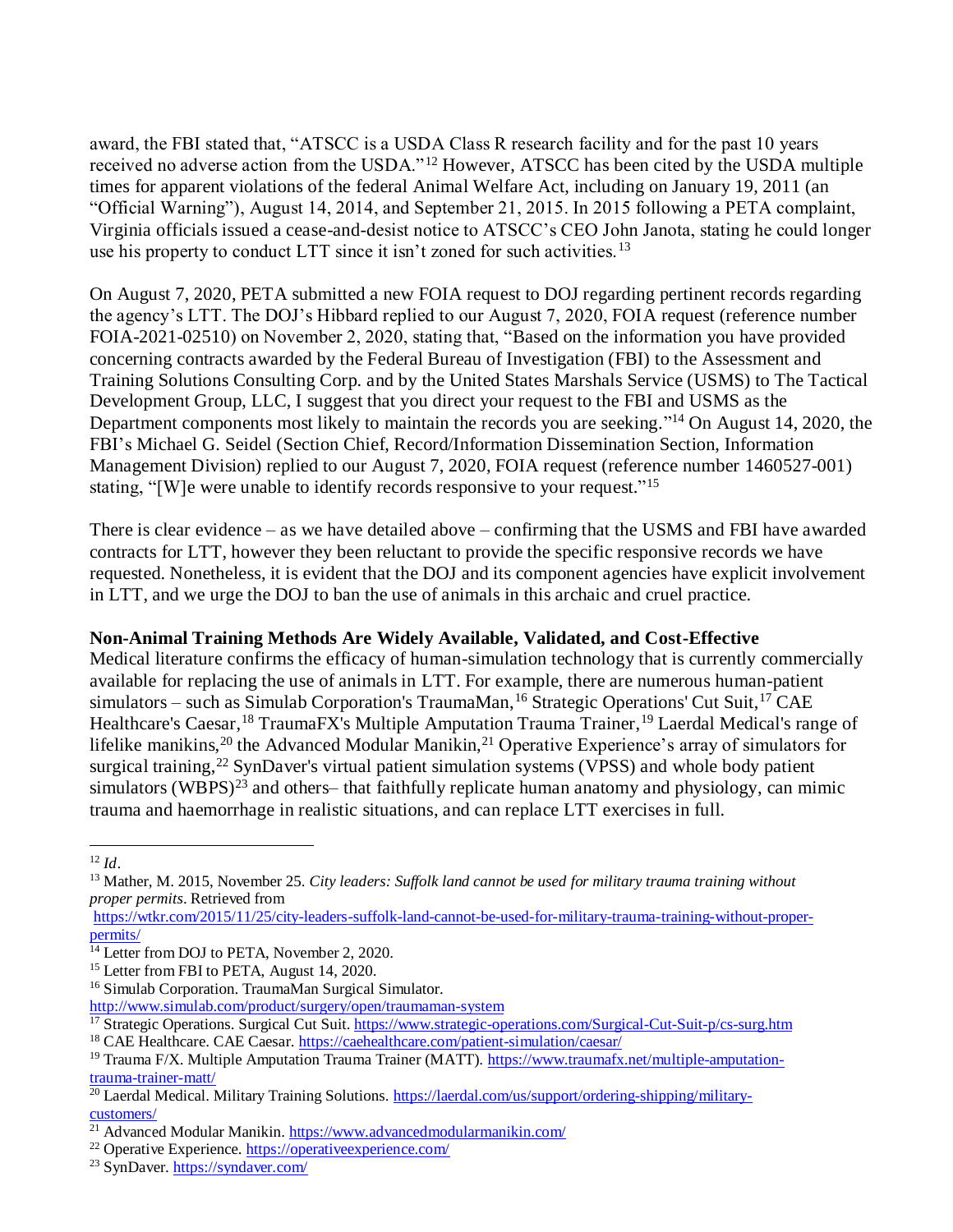award, the FBI stated that, "ATSCC is a USDA Class R research facility and for the past 10 years received no adverse action from the USDA."<sup>12</sup> However, ATSCC has been cited by the USDA multiple times for apparent violations of the federal Animal Welfare Act, including on January 19, 2011 (an "Official Warning"), August 14, 2014, and September 21, 2015. In 2015 following a PETA complaint, Virginia officials issued a cease-and-desist notice to ATSCC's CEO John Janota, stating he could longer use his property to conduct LTT since it isn't zoned for such activities.<sup>13</sup> 

On August 7, 2020, PETA submitted a new FOIA request to DOJ regarding pertinent records regarding the agency's LTT. The DOJ's Hibbard replied to our August 7, 2020, FOIA request (reference number FOIA-2021-02510) on November 2, 2020, stating that, "Based on the information you have provided concerning contracts awarded by the Federal Bureau of Investigation (FBI) to the Assessment and Training Solutions Consulting Corp. and by the United States Marshals Service (USMS) to The Tactical Development Group, LLC, I suggest that you direct your request to the FBI and USMS as the Department components most likely to maintain the records you are seeking."<sup>14</sup> On August 14, 2020, the FBI's Michael G. Seidel (Section Chief, Record/Information Dissemination Section, Information Management Division) replied to our August 7, 2020, FOIA request (reference number 1460527-001) stating, "[W]e were unable to identify records responsive to your request."<sup>15</sup>

There is clear evidence – as we have detailed above – confirming that the USMS and FBI have awarded contracts for LTT, however they been reluctant to provide the specific responsive records we have requested. Nonetheless, it is evident that the DOJ and its component agencies have explicit involvement in LTT, and we urge the DOJ to ban the use of animals in this archaic and cruel practice.

# **Non-Animal Training Methods Are Widely Available, Validated, and Cost-Effective**

Medical literature confirms the efficacy of human-simulation technology that is currently commercially available for replacing the use of animals in LTT. For example, there are numerous human-patient simulators – such as Simulab Corporation's TraumaMan, <sup>16</sup> Strategic Operations' Cut Suit, <sup>17</sup> CAE Healthcare's Caesar,<sup>18</sup> TraumaFX's Multiple Amputation Trauma Trainer,<sup>19</sup> Laerdal Medical's range of lifelike manikins,<sup>20</sup> the Advanced Modular Manikin,<sup>21</sup> Operative Experience's array of simulators for surgical training,<sup>22</sup> SynDaver's virtual patient simulation systems (VPSS) and whole body patient simulators (WBPS) $^{23}$  and others– that faithfully replicate human anatomy and physiology, can mimic trauma and haemorrhage in realistic situations, and can replace LTT exercises in full.

 $12 \, \text{Id}$ 

<sup>13</sup> Mather, M. 2015, November 25. *City leaders: Suffolk land cannot be used for military trauma training without proper permits*. Retrieved from

[https://wtkr.com/2015/11/25/city-leaders-suffolk-land-cannot-be-used-for-military-trauma-training-without-proper](https://wtkr.com/2015/11/25/city-leaders-suffolk-land-cannot-be-used-for-military-trauma-training-without-proper-permits/)[permits/](https://wtkr.com/2015/11/25/city-leaders-suffolk-land-cannot-be-used-for-military-trauma-training-without-proper-permits/)

<sup>&</sup>lt;sup>14</sup> Letter from DOJ to PETA, November 2, 2020.

<sup>&</sup>lt;sup>15</sup> Letter from FBI to PETA, August 14, 2020.

<sup>16</sup> Simulab Corporation. TraumaMan Surgical Simulator.

<http://www.simulab.com/product/surgery/open/traumaman-system>

<sup>17</sup> Strategic Operations. Surgical Cut Suit[. https://www.strategic-operations.com/Surgical-Cut-Suit-p/cs-surg.htm](https://www.strategic-operations.com/Surgical-Cut-Suit-p/cs-surg.htm)  <sup>18</sup> CAE Healthcare. CAE Caesar.<https://caehealthcare.com/patient-simulation/caesar/>

<sup>19</sup> Trauma F/X. Multiple Amputation Trauma Trainer (MATT). [https://www.traumafx.net/multiple-amputation](https://www.traumafx.net/multiple-amputation-trauma-trainer-matt/)[trauma-trainer-matt/](https://www.traumafx.net/multiple-amputation-trauma-trainer-matt/)

<sup>&</sup>lt;sup>20</sup> Laerdal Medical. Military Training Solutions[. https://laerdal.com/us/support/ordering-shipping/military](https://laerdal.com/us/support/ordering-shipping/military-customers/)[customers/](https://laerdal.com/us/support/ordering-shipping/military-customers/)

<sup>21</sup> Advanced Modular Manikin[. https://www.advancedmodularmanikin.com/](https://www.advancedmodularmanikin.com/)

<sup>22</sup> Operative Experience.<https://operativeexperience.com/>

<sup>23</sup> SynDaver.<https://syndaver.com/>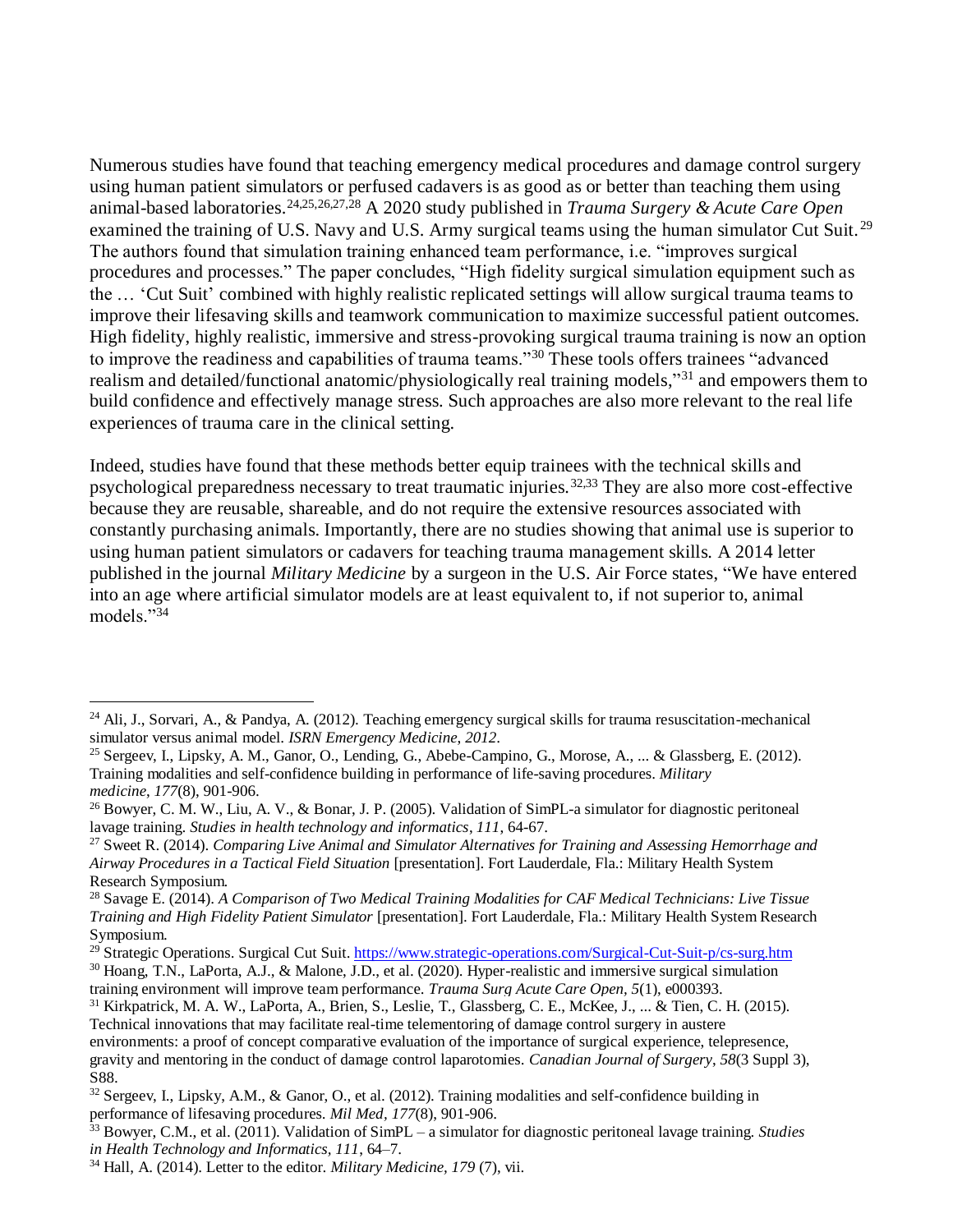Numerous studies have found that teaching emergency medical procedures and damage control surgery using human patient simulators or perfused cadavers is as good as or better than teaching them using animal-based laboratories.24,25,26,27,28 A 2020 study published in *Trauma Surgery & Acute Care Open* examined the training of U.S. Navy and U.S. Army surgical teams using the human simulator Cut Suit.<sup>29</sup> The authors found that simulation training enhanced team performance, i.e. "improves surgical procedures and processes." The paper concludes, "High fidelity surgical simulation equipment such as the … 'Cut Suit' combined with highly realistic replicated settings will allow surgical trauma teams to improve their lifesaving skills and teamwork communication to maximize successful patient outcomes. High fidelity, highly realistic, immersive and stress-provoking surgical trauma training is now an option to improve the readiness and capabilities of trauma teams."<sup>30</sup> These tools offers trainees "advanced realism and detailed/functional anatomic/physiologically real training models,"<sup>31</sup> and empowers them to build confidence and effectively manage stress. Such approaches are also more relevant to the real life experiences of trauma care in the clinical setting.

Indeed, studies have found that these methods better equip trainees with the technical skills and psychological preparedness necessary to treat traumatic injuries.32,33 They are also more cost-effective because they are reusable, shareable, and do not require the extensive resources associated with constantly purchasing animals. Importantly, there are no studies showing that animal use is superior to using human patient simulators or cadavers for teaching trauma management skills. A 2014 letter published in the journal *Military Medicine* by a surgeon in the U.S. Air Force states, "We have entered into an age where artificial simulator models are at least equivalent to, if not superior to, animal models."<sup>34</sup>

<sup>29</sup> Strategic Operations. Surgical Cut Suit. https://www.strategic-operations.com/Surgical-Cut-Suit-p/cs-surg.htm <sup>30</sup> Hoang, T.N., LaPorta, A.J., & Malone, J.D., et al. (2020). Hyper-realistic and immersive surgical simulation

<sup>&</sup>lt;sup>24</sup> Ali, J., Sorvari, A., & Pandya, A. (2012). Teaching emergency surgical skills for trauma resuscitation-mechanical simulator versus animal model. *ISRN Emergency Medicine*, *2012*.

<sup>&</sup>lt;sup>25</sup> Sergeev, I., Lipsky, A. M., Ganor, O., Lending, G., Abebe-Campino, G., Morose, A., ... & Glassberg, E. (2012). Training modalities and self-confidence building in performance of life-saving procedures. *Military medicine*, *177*(8), 901-906.

<sup>&</sup>lt;sup>26</sup> Bowyer, C. M. W., Liu, A. V., & Bonar, J. P. (2005). Validation of SimPL-a simulator for diagnostic peritoneal lavage training. *Studies in health technology and informatics*, *111*, 64-67.

<sup>27</sup> Sweet R. (2014). *Comparing Live Animal and Simulator Alternatives for Training and Assessing Hemorrhage and Airway Procedures in a Tactical Field Situation* [presentation]. Fort Lauderdale, Fla.: Military Health System Research Symposium.

<sup>28</sup> Savage E. (2014). *A Comparison of Two Medical Training Modalities for CAF Medical Technicians: Live Tissue Training and High Fidelity Patient Simulator* [presentation]. Fort Lauderdale, Fla.: Military Health System Research Symposium.

training environment will improve team performance. *Trauma Surg Acute Care Open, 5*(1), e000393.

 $31$  Kirkpatrick, M. A. W., LaPorta, A., Brien, S., Leslie, T., Glassberg, C. E., McKee, J., ... & Tien, C. H. (2015). Technical innovations that may facilitate real-time telementoring of damage control surgery in austere environments: a proof of concept comparative evaluation of the importance of surgical experience, telepresence, gravity and mentoring in the conduct of damage control laparotomies. *Canadian Journal of Surgery*, *58*(3 Suppl 3), S88.

<sup>32</sup> Sergeev, I., Lipsky, A.M., & Ganor, O., et al. (2012). Training modalities and self-confidence building in performance of lifesaving procedures. *Mil Med, 177*(8), 901-906.

<sup>33</sup> Bowyer, C.M., et al. (2011). Validation of SimPL – a simulator for diagnostic peritoneal lavage training. *Studies in Health Technology and Informatics, 111*, 64–7.

<sup>34</sup> Hall, A. (2014). Letter to the editor. *Military Medicine, 179* (7), vii.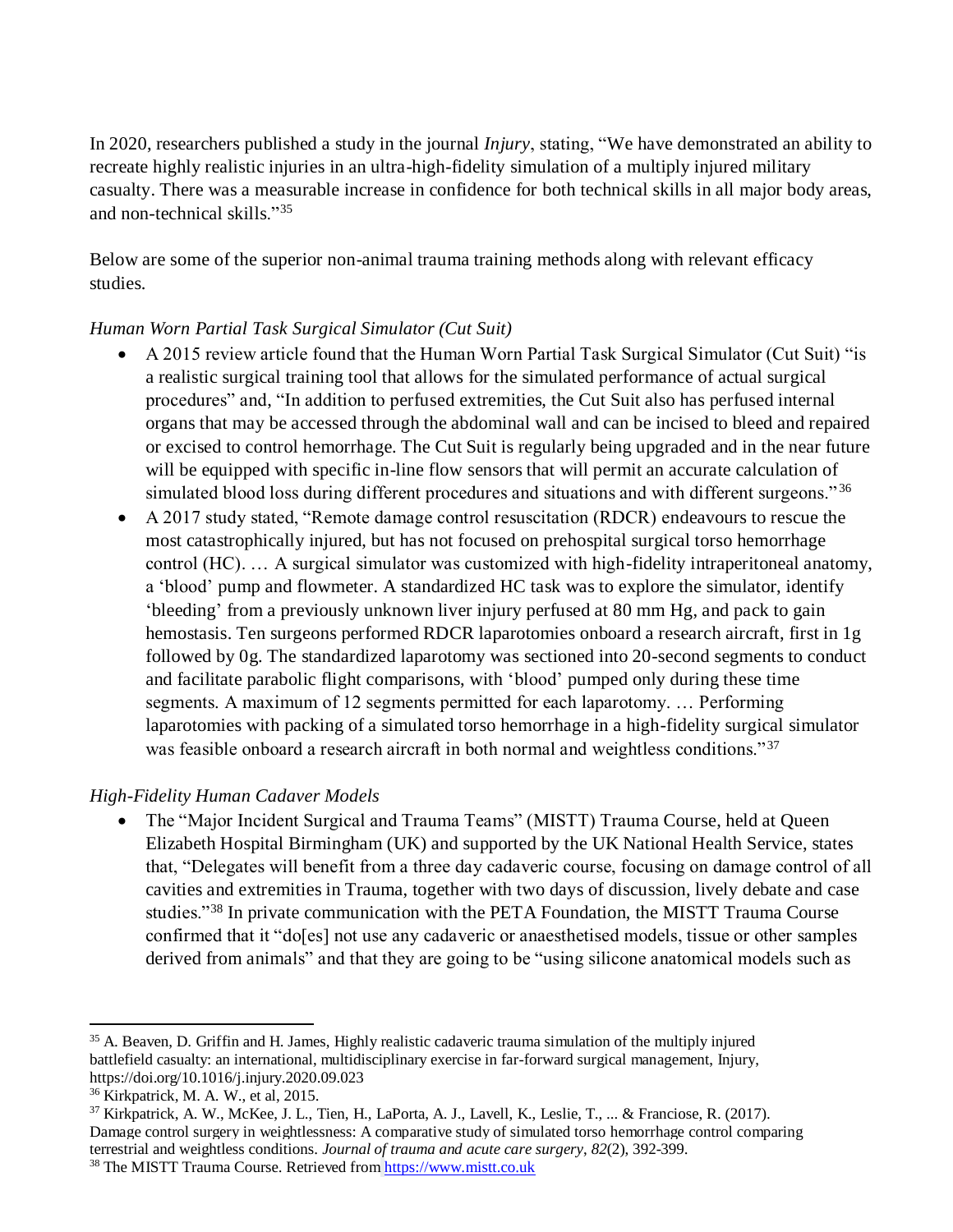In 2020, researchers published a study in the journal *Injury*, stating, "We have demonstrated an ability to recreate highly realistic injuries in an ultra-high-fidelity simulation of a multiply injured military casualty. There was a measurable increase in confidence for both technical skills in all major body areas, and non-technical skills."<sup>35</sup>

Below are some of the superior non-animal trauma training methods along with relevant efficacy studies.

# *Human Worn Partial Task Surgical Simulator (Cut Suit)*

- A 2015 review article found that the Human Worn Partial Task Surgical Simulator (Cut Suit) "is a realistic surgical training tool that allows for the simulated performance of actual surgical procedures" and, "In addition to perfused extremities, the Cut Suit also has perfused internal organs that may be accessed through the abdominal wall and can be incised to bleed and repaired or excised to control hemorrhage. The Cut Suit is regularly being upgraded and in the near future will be equipped with specific in-line flow sensors that will permit an accurate calculation of simulated blood loss during different procedures and situations and with different surgeons."<sup>36</sup>
- A 2017 study stated, "Remote damage control resuscitation (RDCR) endeavours to rescue the most catastrophically injured, but has not focused on prehospital surgical torso hemorrhage control (HC). … A surgical simulator was customized with high-fidelity intraperitoneal anatomy, a 'blood' pump and flowmeter. A standardized HC task was to explore the simulator, identify 'bleeding' from a previously unknown liver injury perfused at 80 mm Hg, and pack to gain hemostasis. Ten surgeons performed RDCR laparotomies onboard a research aircraft, first in 1g followed by 0g. The standardized laparotomy was sectioned into 20-second segments to conduct and facilitate parabolic flight comparisons, with 'blood' pumped only during these time segments. A maximum of 12 segments permitted for each laparotomy. … Performing laparotomies with packing of a simulated torso hemorrhage in a high-fidelity surgical simulator was feasible onboard a research aircraft in both normal and weightless conditions."<sup>37</sup>

# *High-Fidelity Human Cadaver Models*

• The "Major Incident Surgical and Trauma Teams" (MISTT) Trauma Course, held at Queen Elizabeth Hospital Birmingham (UK) and supported by the UK National Health Service, states that, "Delegates will benefit from a three day cadaveric course, focusing on damage control of all cavities and extremities in Trauma, together with two days of discussion, lively debate and case studies."<sup>38</sup> In private communication with the PETA Foundation, the MISTT Trauma Course confirmed that it "do[es] not use any cadaveric or anaesthetised models, tissue or other samples derived from animals" and that they are going to be "using silicone anatomical models such as

<sup>&</sup>lt;sup>35</sup> A. Beaven, D. Griffin and H. James, Highly realistic cadaveric trauma simulation of the multiply injured battlefield casualty: an international, multidisciplinary exercise in far-forward surgical management, Injury, https://doi.org/10.1016/j.injury.2020.09.023

<sup>36</sup> Kirkpatrick, M. A. W., et al, 2015.

<sup>37</sup> Kirkpatrick, A. W., McKee, J. L., Tien, H., LaPorta, A. J., Lavell, K., Leslie, T., ... & Franciose, R. (2017). Damage control surgery in weightlessness: A comparative study of simulated torso hemorrhage control comparing terrestrial and weightless conditions. *Journal of trauma and acute care surgery*, *82*(2), 392-399. <sup>38</sup> The MISTT Trauma Course. Retrieved from [https://www.mistt.co.uk](https://www.mistt.co.uk/)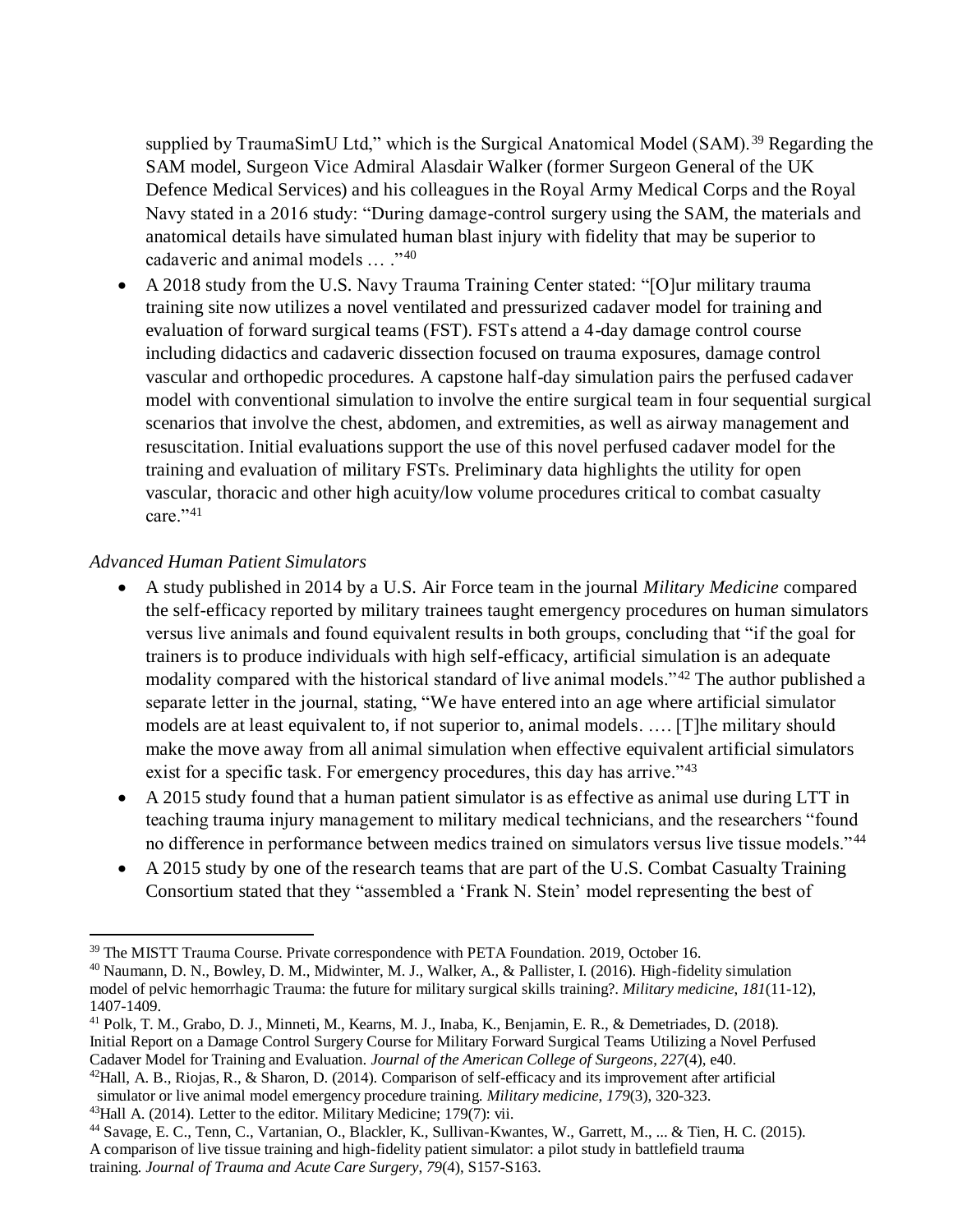supplied by TraumaSimU Ltd," which is the Surgical Anatomical Model (SAM).<sup>39</sup> Regarding the SAM model, Surgeon Vice Admiral Alasdair Walker (former Surgeon General of the UK Defence Medical Services) and his colleagues in the Royal Army Medical Corps and the Royal Navy stated in a 2016 study: "During damage-control surgery using the SAM, the materials and anatomical details have simulated human blast injury with fidelity that may be superior to cadaveric and animal models … ."<sup>40</sup>

 A 2018 study from the U.S. Navy Trauma Training Center stated: "[O]ur military trauma training site now utilizes a novel ventilated and pressurized cadaver model for training and evaluation of forward surgical teams (FST). FSTs attend a 4-day damage control course including didactics and cadaveric dissection focused on trauma exposures, damage control vascular and orthopedic procedures. A capstone half-day simulation pairs the perfused cadaver model with conventional simulation to involve the entire surgical team in four sequential surgical scenarios that involve the chest, abdomen, and extremities, as well as airway management and resuscitation. Initial evaluations support the use of this novel perfused cadaver model for the training and evaluation of military FSTs. Preliminary data highlights the utility for open vascular, thoracic and other high acuity/low volume procedures critical to combat casualty care."41

### *Advanced Human Patient Simulators*

- A study published in 2014 by a U.S. Air Force team in the journal *Military Medicine* compared the self-efficacy reported by military trainees taught emergency procedures on human simulators versus live animals and found equivalent results in both groups, concluding that "if the goal for trainers is to produce individuals with high self-efficacy, artificial simulation is an adequate modality compared with the historical standard of live animal models." <sup>42</sup> The author published a separate letter in the journal, stating, "We have entered into an age where artificial simulator models are at least equivalent to, if not superior to, animal models. …. [T]he military should make the move away from all animal simulation when effective equivalent artificial simulators exist for a specific task. For emergency procedures, this day has arrive."<sup>43</sup>
- A 2015 study found that a human patient simulator is as effective as animal use during LTT in teaching trauma injury management to military medical technicians, and the researchers "found no difference in performance between medics trained on simulators versus live tissue models."<sup>44</sup>
- A 2015 study by one of the research teams that are part of the U.S. Combat Casualty Training Consortium stated that they "assembled a 'Frank N. Stein' model representing the best of

<sup>39</sup> The MISTT Trauma Course. Private correspondence with PETA Foundation. 2019, October 16.

<sup>40</sup> Naumann, D. N., Bowley, D. M., Midwinter, M. J., Walker, A., & Pallister, I. (2016). High-fidelity simulation model of pelvic hemorrhagic Trauma: the future for military surgical skills training?. *Military medicine*, *181*(11-12), 1407-1409.

<sup>41</sup> Polk, T. M., Grabo, D. J., Minneti, M., Kearns, M. J., Inaba, K., Benjamin, E. R., & Demetriades, D. (2018). Initial Report on a Damage Control Surgery Course for Military Forward Surgical Teams Utilizing a Novel Perfused Cadaver Model for Training and Evaluation. *Journal of the American College of Surgeons*, *227*(4), e40.

 $42$ Hall, A. B., Riojas, R., & Sharon, D. (2014). Comparison of self-efficacy and its improvement after artificial simulator or live animal model emergency procedure training. *Military medicine*, *179*(3), 320-323. <sup>43</sup>Hall A. (2014). Letter to the editor. Military Medicine; 179(7): vii.

<sup>44</sup> Savage, E. C., Tenn, C., Vartanian, O., Blackler, K., Sullivan-Kwantes, W., Garrett, M., ... & Tien, H. C. (2015). A comparison of live tissue training and high-fidelity patient simulator: a pilot study in battlefield trauma training. *Journal of Trauma and Acute Care Surgery*, *79*(4), S157-S163.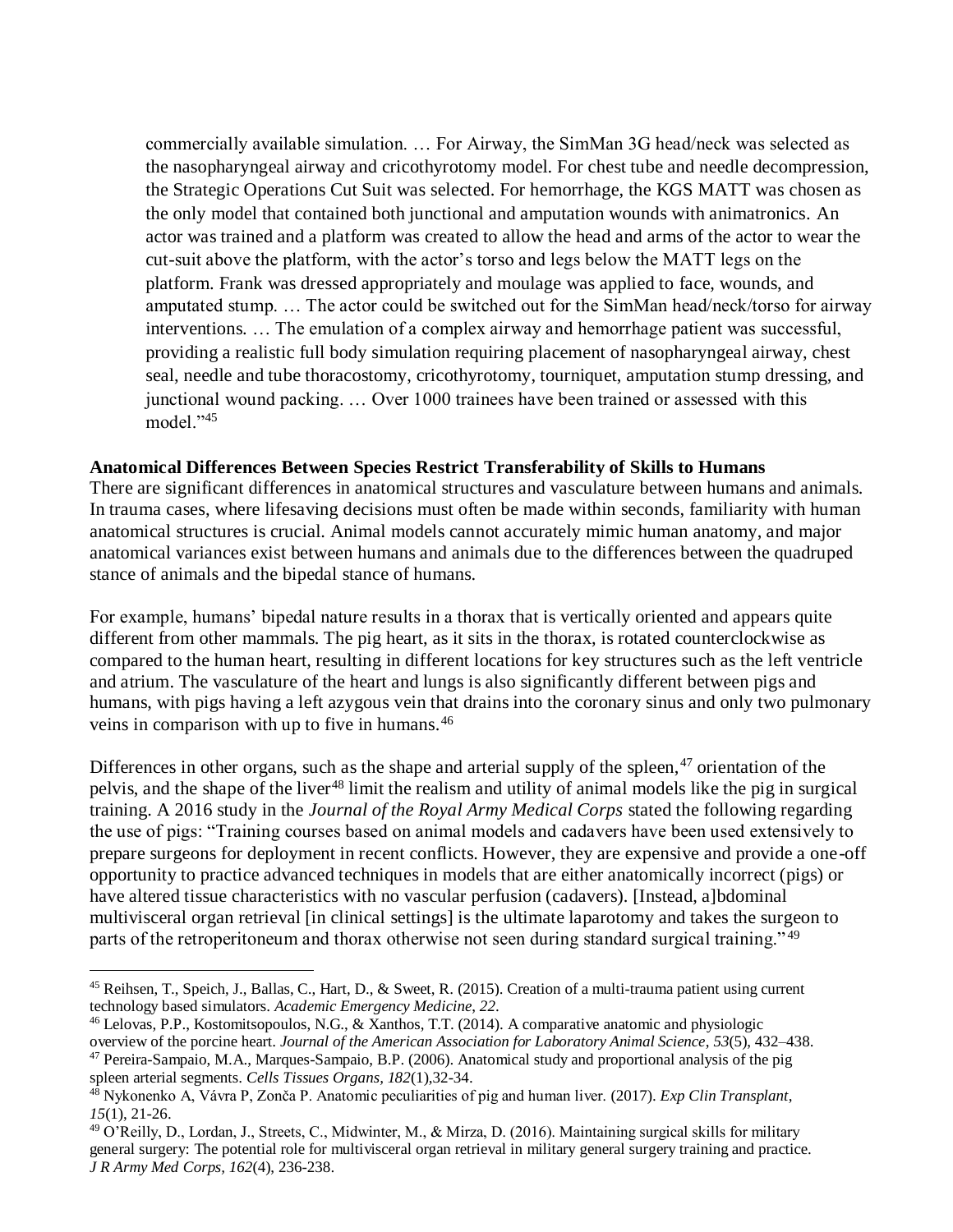commercially available simulation. … For Airway, the SimMan 3G head/neck was selected as the nasopharyngeal airway and cricothyrotomy model. For chest tube and needle decompression, the Strategic Operations Cut Suit was selected. For hemorrhage, the KGS MATT was chosen as the only model that contained both junctional and amputation wounds with animatronics. An actor was trained and a platform was created to allow the head and arms of the actor to wear the cut-suit above the platform, with the actor's torso and legs below the MATT legs on the platform. Frank was dressed appropriately and moulage was applied to face, wounds, and amputated stump. … The actor could be switched out for the SimMan head/neck/torso for airway interventions. … The emulation of a complex airway and hemorrhage patient was successful, providing a realistic full body simulation requiring placement of nasopharyngeal airway, chest seal, needle and tube thoracostomy, cricothyrotomy, tourniquet, amputation stump dressing, and junctional wound packing. … Over 1000 trainees have been trained or assessed with this model."<sup>45</sup>

### **Anatomical Differences Between Species Restrict Transferability of Skills to Humans**

There are significant differences in anatomical structures and vasculature between humans and animals. In trauma cases, where lifesaving decisions must often be made within seconds, familiarity with human anatomical structures is crucial. Animal models cannot accurately mimic human anatomy, and major anatomical variances exist between humans and animals due to the differences between the quadruped stance of animals and the bipedal stance of humans.

For example, humans' bipedal nature results in a thorax that is vertically oriented and appears quite different from other mammals. The pig heart, as it sits in the thorax, is rotated counterclockwise as compared to the human heart, resulting in different locations for key structures such as the left ventricle and atrium. The vasculature of the heart and lungs is also significantly different between pigs and humans, with pigs having a left azygous vein that drains into the coronary sinus and only two pulmonary veins in comparison with up to five in humans.<sup>46</sup>

Differences in other organs, such as the shape and arterial supply of the spleen, $47$  orientation of the pelvis, and the shape of the liver<sup>48</sup> limit the realism and utility of animal models like the pig in surgical training. A 2016 study in the *Journal of the Royal Army Medical Corps* stated the following regarding the use of pigs: "Training courses based on animal models and cadavers have been used extensively to prepare surgeons for deployment in recent conflicts. However, they are expensive and provide a one-off opportunity to practice advanced techniques in models that are either anatomically incorrect (pigs) or have altered tissue characteristics with no vascular perfusion (cadavers). [Instead, a]bdominal multivisceral organ retrieval [in clinical settings] is the ultimate laparotomy and takes the surgeon to parts of the retroperitoneum and thorax otherwise not seen during standard surgical training."<sup>49</sup>

<sup>&</sup>lt;sup>45</sup> Reihsen, T., Speich, J., Ballas, C., Hart, D., & Sweet, R. (2015). Creation of a multi-trauma patient using current technology based simulators. *Academic Emergency Medicine*, *22*.

<sup>46</sup> Lelovas, P.P., Kostomitsopoulos, N.G., & Xanthos, T.T. (2014). A comparative anatomic and physiologic overview of the porcine heart. *Journal of the American Association for Laboratory Animal Science*, *53*(5), 432–438.

<sup>47</sup> Pereira-Sampaio, M.A., Marques-Sampaio, B.P. (2006). Anatomical study and proportional analysis of the pig spleen arterial segments. *Cells Tissues Organs, 182*(1),32-34.

<sup>48</sup> Nykonenko A, Vávra P, Zonča P. Anatomic peculiarities of pig and human liver. (2017). *Exp Clin Transplant*, *15*(1), 21-26.

<sup>49</sup> O'Reilly, D., Lordan, J., Streets, C., Midwinter, M., & Mirza, D. (2016). Maintaining surgical skills for military general surgery: The potential role for multivisceral organ retrieval in military general surgery training and practice. *J R Army Med Corps, 162*(4), 236-238.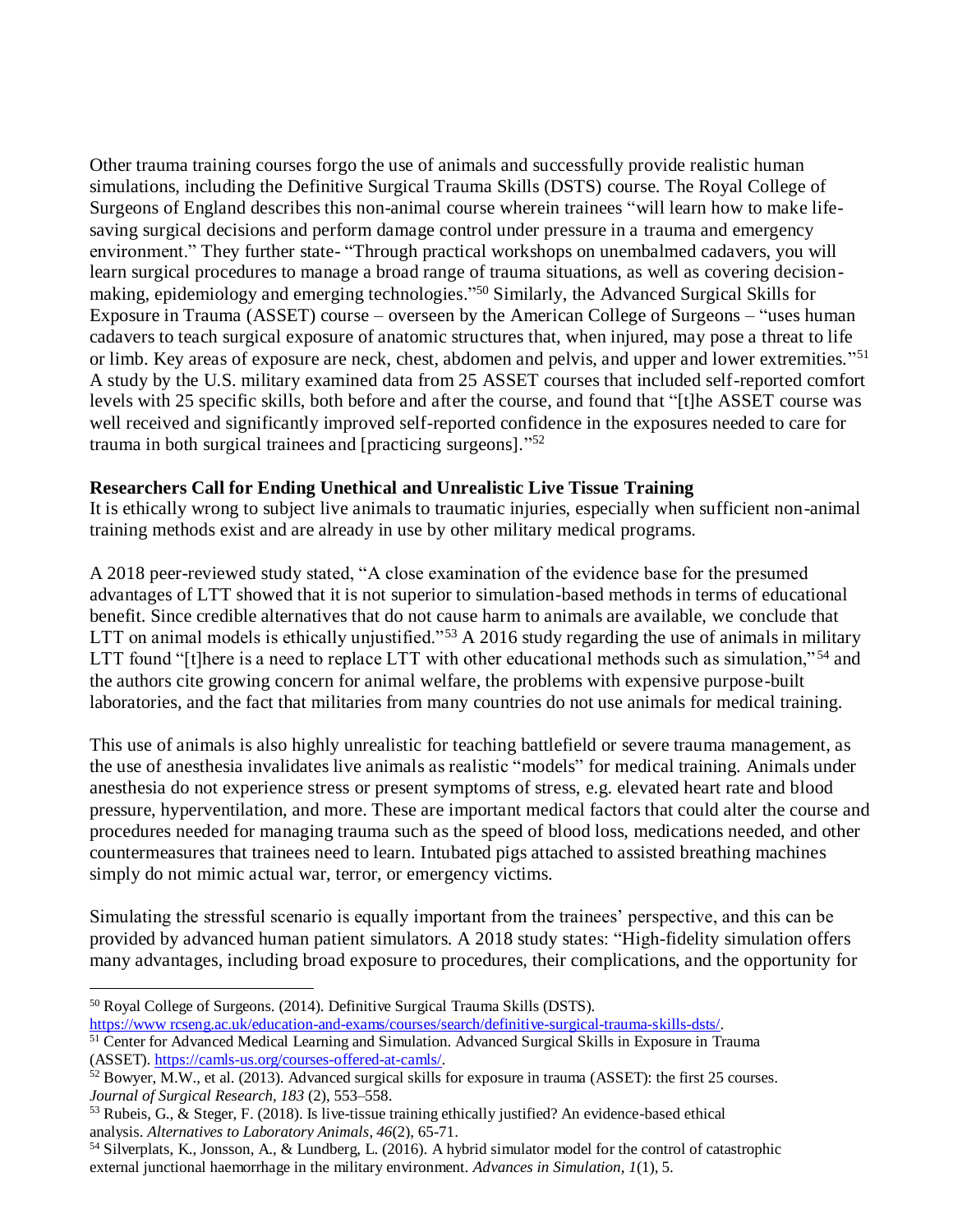Other trauma training courses forgo the use of animals and successfully provide realistic human simulations, including the Definitive Surgical Trauma Skills (DSTS) course. The Royal College of Surgeons of England describes this non-animal course wherein trainees "will learn how to make lifesaving surgical decisions and perform damage control under pressure in a trauma and emergency environment." They further state- "Through practical workshops on unembalmed cadavers, you will learn surgical procedures to manage a broad range of trauma situations, as well as covering decisionmaking, epidemiology and emerging technologies." <sup>50</sup> Similarly, the Advanced Surgical Skills for Exposure in Trauma (ASSET) course – overseen by the American College of Surgeons – "uses human cadavers to teach surgical exposure of anatomic structures that, when injured, may pose a threat to life or limb. Key areas of exposure are neck, chest, abdomen and pelvis, and upper and lower extremities."<sup>51</sup> A study by the U.S. military examined data from 25 ASSET courses that included self-reported comfort levels with 25 specific skills, both before and after the course, and found that "[t]he ASSET course was well received and significantly improved self-reported confidence in the exposures needed to care for trauma in both surgical trainees and [practicing surgeons]." 52

### **Researchers Call for Ending Unethical and Unrealistic Live Tissue Training**

It is ethically wrong to subject live animals to traumatic injuries, especially when sufficient non-animal training methods exist and are already in use by other military medical programs.

A 2018 peer-reviewed study stated, "A close examination of the evidence base for the presumed advantages of LTT showed that it is not superior to simulation-based methods in terms of educational benefit. Since credible alternatives that do not cause harm to animals are available, we conclude that LTT on animal models is ethically unjustified."<sup>53</sup> A 2016 study regarding the use of animals in military LTT found "[t]here is a need to replace LTT with other educational methods such as simulation,"<sup>54</sup> and the authors cite growing concern for animal welfare, the problems with expensive purpose-built laboratories, and the fact that militaries from many countries do not use animals for medical training.

This use of animals is also highly unrealistic for teaching battlefield or severe trauma management, as the use of anesthesia invalidates live animals as realistic "models" for medical training. Animals under anesthesia do not experience stress or present symptoms of stress, e.g. elevated heart rate and blood pressure, hyperventilation, and more. These are important medical factors that could alter the course and procedures needed for managing trauma such as the speed of blood loss, medications needed, and other countermeasures that trainees need to learn. Intubated pigs attached to assisted breathing machines simply do not mimic actual war, terror, or emergency victims.

Simulating the stressful scenario is equally important from the trainees' perspective, and this can be provided by advanced human patient simulators. A 2018 study states: "High-fidelity simulation offers many advantages, including broad exposure to procedures, their complications, and the opportunity for

<sup>50</sup> Royal College of Surgeons. (2014). Definitive Surgical Trauma Skills (DSTS).

[https://www rcseng.ac.uk/education-and-exams/courses/search/definitive-surgical-trauma-skills-dsts/.](https://www.rcseng.ac.uk/education-and-exams/courses/search/definitive-surgical-trauma-skills-dsts/)

<sup>&</sup>lt;sup>51</sup> Center for Advanced Medical Learning and Simulation. Advanced Surgical Skills in Exposure in Trauma (ASSET). [https://camls-us.org/courses-offered-at-camls/.](https://camls-us.org/courses-offered-at-camls/)

 $52$  Bowyer, M.W., et al. (2013). Advanced surgical skills for exposure in trauma (ASSET): the first 25 courses. *Journal of Surgical Research, 183* (2), 553–558.

<sup>53</sup> Rubeis, G., & Steger, F. (2018). Is live-tissue training ethically justified? An evidence-based ethical analysis. *Alternatives to Laboratory Animals*, *46*(2), 65-71.

<sup>54</sup> Silverplats, K., Jonsson, A., & Lundberg, L. (2016). A hybrid simulator model for the control of catastrophic external junctional haemorrhage in the military environment. *Advances in Simulation*, *1*(1), 5.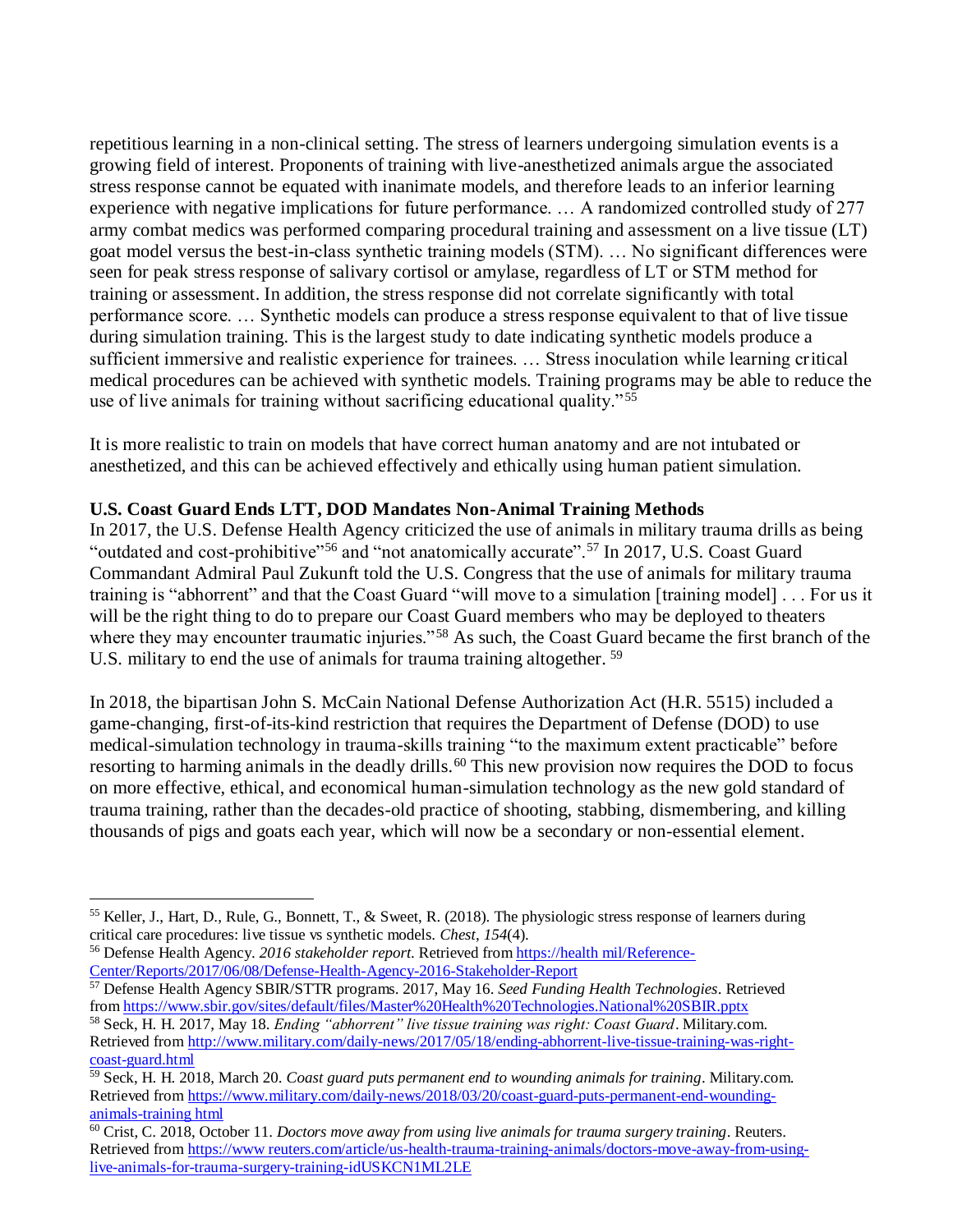repetitious learning in a non-clinical setting. The stress of learners undergoing simulation events is a growing field of interest. Proponents of training with live-anesthetized animals argue the associated stress response cannot be equated with inanimate models, and therefore leads to an inferior learning experience with negative implications for future performance. … A randomized controlled study of 277 army combat medics was performed comparing procedural training and assessment on a live tissue (LT) goat model versus the best-in-class synthetic training models (STM). … No significant differences were seen for peak stress response of salivary cortisol or amylase, regardless of LT or STM method for training or assessment. In addition, the stress response did not correlate significantly with total performance score. … Synthetic models can produce a stress response equivalent to that of live tissue during simulation training. This is the largest study to date indicating synthetic models produce a sufficient immersive and realistic experience for trainees. … Stress inoculation while learning critical medical procedures can be achieved with synthetic models. Training programs may be able to reduce the use of live animals for training without sacrificing educational quality." <sup>55</sup>

It is more realistic to train on models that have correct human anatomy and are not intubated or anesthetized, and this can be achieved effectively and ethically using human patient simulation.

# **U.S. Coast Guard Ends LTT, DOD Mandates Non-Animal Training Methods**

In 2017, the U.S. Defense Health Agency criticized the use of animals in military trauma drills as being "outdated and cost-prohibitive"<sup>56</sup> and "not anatomically accurate".<sup>57</sup> In 2017, U.S. Coast Guard Commandant Admiral Paul Zukunft told the U.S. Congress that the use of animals for military trauma training is "abhorrent" and that the Coast Guard "will move to a simulation [training model] . . . For us it will be the right thing to do to prepare our Coast Guard members who may be deployed to theaters where they may encounter traumatic injuries."<sup>58</sup> As such, the Coast Guard became the first branch of the U.S. military to end the use of animals for trauma training altogether.<sup>59</sup>

In 2018, the bipartisan John S. McCain National Defense Authorization Act (H.R. 5515) included a game-changing, first-of-its-kind restriction that requires the Department of Defense (DOD) to use medical-simulation technology in trauma-skills training "to the maximum extent practicable" before resorting to harming animals in the deadly drills.<sup>60</sup> This new provision now requires the DOD to focus on more effective, ethical, and economical human-simulation technology as the new gold standard of trauma training, rather than the decades-old practice of shooting, stabbing, dismembering, and killing thousands of pigs and goats each year, which will now be a secondary or non-essential element.

<sup>57</sup> Defense Health Agency SBIR/STTR programs. 2017, May 16. *Seed Funding Health Technologies*. Retrieved from https://www.sbir.gov/sites/default/files/Master%20Health%20Technologies.National%20SBIR.pptx

 $\overline{a}$ <sup>55</sup> Keller, J., Hart, D., Rule, G., Bonnett, T., & Sweet, R. (2018). The physiologic stress response of learners during critical care procedures: live tissue vs synthetic models. *Chest*, *154*(4).

<sup>56</sup> Defense Health Agency. *2016 stakeholder report*. Retrieved from [https://health mil/Reference-](https://health.mil/Reference-Center/Reports/2017/06/08/Defense-Health-Agency-2016-Stakeholder-Report)[Center/Reports/2017/06/08/Defense-Health-Agency-2016-Stakeholder-Report](https://health.mil/Reference-Center/Reports/2017/06/08/Defense-Health-Agency-2016-Stakeholder-Report) 

<sup>58</sup> Seck, H. H. 2017, May 18. *Ending "abhorrent" live tissue training was right: Coast Guard*. Military.com. Retrieved from [http://www.military.com/daily-news/2017/05/18/ending-abhorrent-live-tissue-training-was-right](http://www.military.com/daily-news/2017/05/18/ending-abhorrent-live-tissue-training-was-right-coast-guard.html)[coast-guard.html](http://www.military.com/daily-news/2017/05/18/ending-abhorrent-live-tissue-training-was-right-coast-guard.html)

<sup>59</sup> Seck, H. H. 2018, March 20. *Coast guard puts permanent end to wounding animals for training*. Military.com. Retrieved from [https://www.military.com/daily-news/2018/03/20/coast-guard-puts-permanent-end-wounding](https://www.military.com/daily-news/2018/03/20/coast-guard-puts-permanent-end-wounding-animals-training.html)[animals-training html](https://www.military.com/daily-news/2018/03/20/coast-guard-puts-permanent-end-wounding-animals-training.html)

<sup>60</sup> Crist, C. 2018, October 11. *Doctors move away from using live animals for trauma surgery training*. Reuters. Retrieved from [https://www reuters.com/article/us-health-trauma-training-animals/doctors-move-away-from-using](https://www.reuters.com/article/us-health-trauma-training-animals/doctors-move-away-from-using-live-animals-for-trauma-surgery-training-idUSKCN1ML2LE)[live-animals-for-trauma-surgery-training-idUSKCN1ML2LE](https://www.reuters.com/article/us-health-trauma-training-animals/doctors-move-away-from-using-live-animals-for-trauma-surgery-training-idUSKCN1ML2LE)